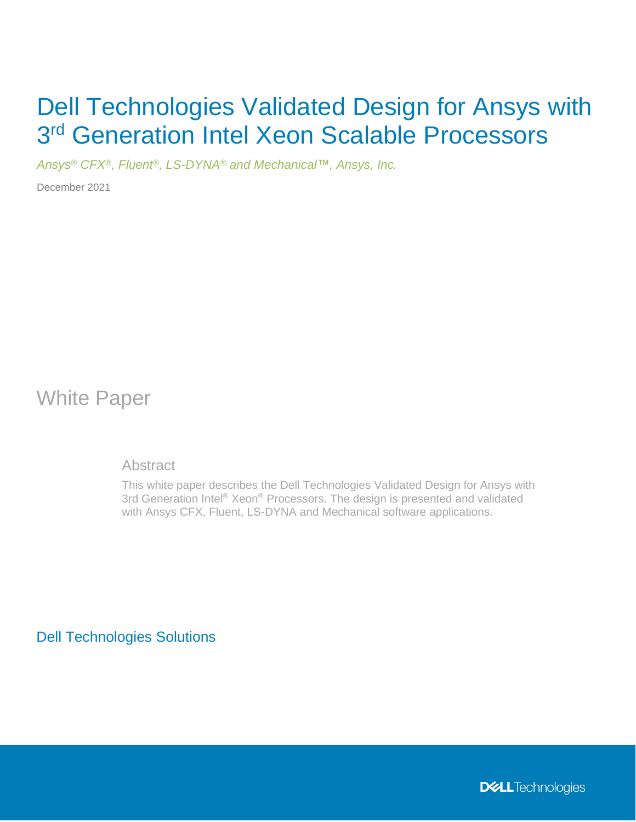# Dell Technologies Validated Design for Ansys with 3<sup>rd</sup> Generation Intel Xeon Scalable Processors

*Ansys® CFX®, Fluent®, LS-DYNA® and Mechanical™, Ansys, Inc.*

December 2021

White Paper

**Abstract** 

This white paper describes the Dell Technologies Validated Design for Ansys with 3rd Generation Intel® Xeon® Processors. The design is presented and validated with Ansys CFX, Fluent, LS-DYNA and Mechanical software applications.

Dell Technologies Solutions

**DELL**Technologies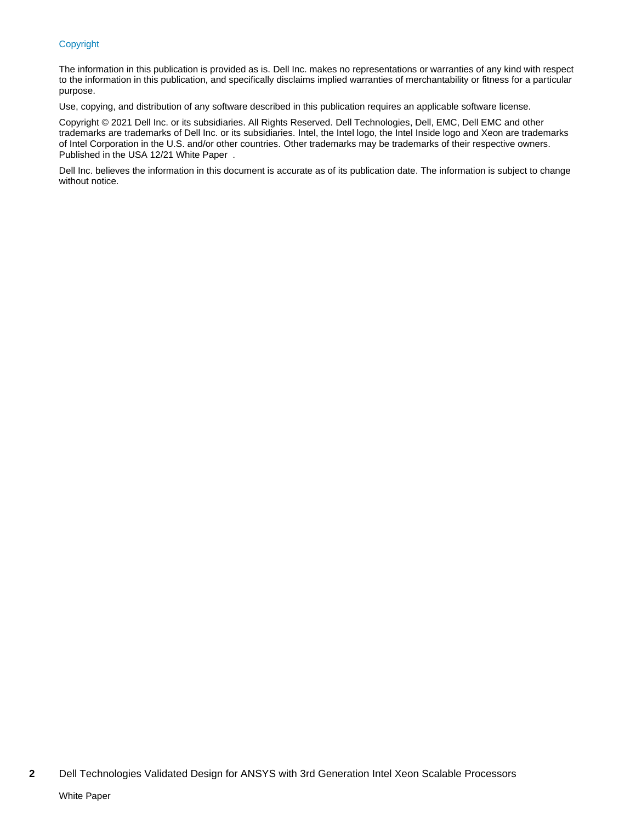#### Copyright

The information in this publication is provided as is. Dell Inc. makes no representations or warranties of any kind with respect to the information in this publication, and specifically disclaims implied warranties of merchantability or fitness for a particular purpose.

Use, copying, and distribution of any software described in this publication requires an applicable software license.

Copyright © 2021 Dell Inc. or its subsidiaries. All Rights Reserved. Dell Technologies, Dell, EMC, Dell EMC and other trademarks are trademarks of Dell Inc. or its subsidiaries. Intel, the Intel logo, the Intel Inside logo and Xeon are trademarks of Intel Corporation in the U.S. and/or other countries. Other trademarks may be trademarks of their respective owners. Published in the USA 12/21 White Paper .

Dell Inc. believes the information in this document is accurate as of its publication date. The information is subject to change without notice.

**<sup>2</sup>** Dell Technologies Validated Design for ANSYS with 3rd Generation Intel Xeon Scalable Processors White Paper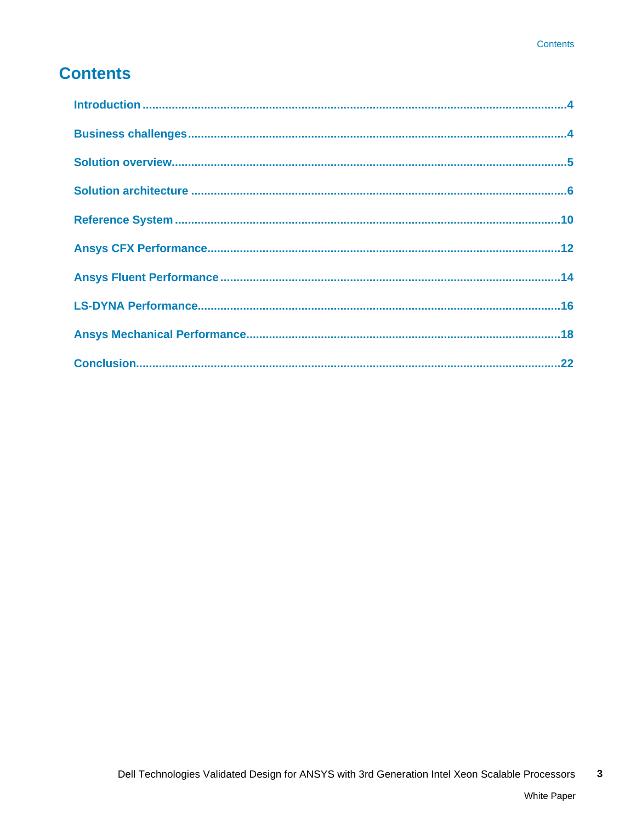## **Contents**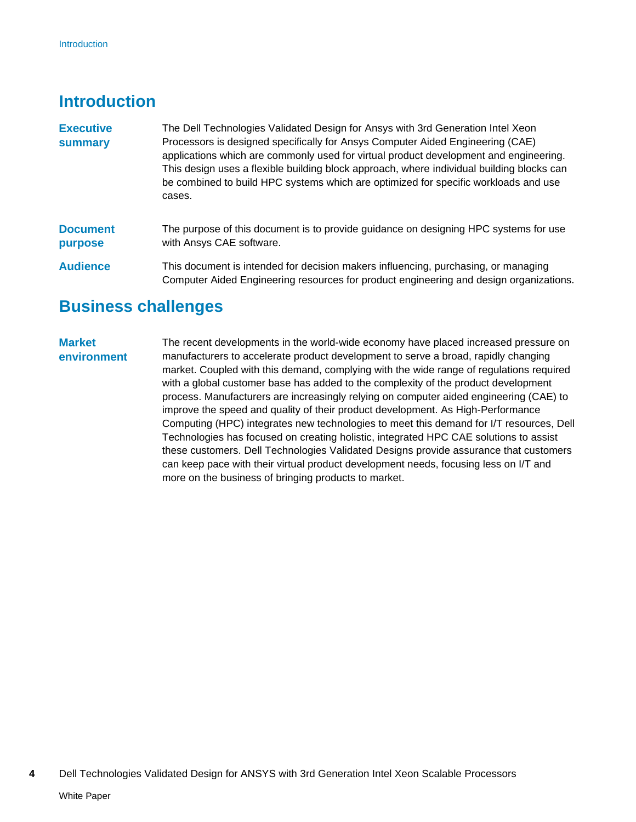## <span id="page-3-0"></span>**Introduction**

- The Dell Technologies Validated Design for Ansys with 3rd Generation Intel Xeon Processors is designed specifically for Ansys Computer Aided Engineering (CAE) applications which are commonly used for virtual product development and engineering. This design uses a flexible building block approach, where individual building blocks can be combined to build HPC systems which are optimized for specific workloads and use cases. **Executive summary**
- The purpose of this document is to provide guidance on designing HPC systems for use with Ansys CAE software. **Document purpose**
- This document is intended for decision makers influencing, purchasing, or managing Computer Aided Engineering resources for product engineering and design organizations. **Audience**

## <span id="page-3-1"></span>**Business challenges**

### **Market environment**

The recent developments in the world-wide economy have placed increased pressure on manufacturers to accelerate product development to serve a broad, rapidly changing market. Coupled with this demand, complying with the wide range of regulations required with a global customer base has added to the complexity of the product development process. Manufacturers are increasingly relying on computer aided engineering (CAE) to improve the speed and quality of their product development. As High-Performance Computing (HPC) integrates new technologies to meet this demand for I/T resources, Dell Technologies has focused on creating holistic, integrated HPC CAE solutions to assist these customers. Dell Technologies Validated Designs provide assurance that customers can keep pace with their virtual product development needs, focusing less on I/T and more on the business of bringing products to market.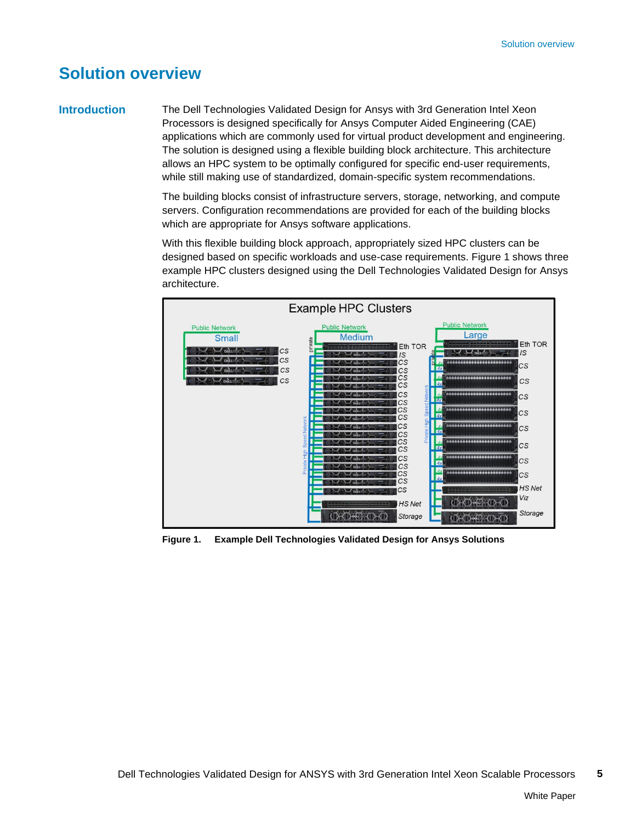## <span id="page-4-0"></span>**Solution overview**

### **Introduction**

The Dell Technologies Validated Design for Ansys with 3rd Generation Intel Xeon Processors is designed specifically for Ansys Computer Aided Engineering (CAE) applications which are commonly used for virtual product development and engineering. The solution is designed using a flexible building block architecture. This architecture allows an HPC system to be optimally configured for specific end-user requirements, while still making use of standardized, domain-specific system recommendations.

The building blocks consist of infrastructure servers, storage, networking, and compute servers. Configuration recommendations are provided for each of the building blocks which are appropriate for Ansys software applications.

With this flexible building block approach, appropriately sized HPC clusters can be designed based on specific workloads and use-case requirements. [Figure 1](#page-4-1) shows three example HPC clusters designed using the Dell Technologies Validated Design for Ansys architecture.



<span id="page-4-1"></span>**Figure 1. Example Dell Technologies Validated Design for Ansys Solutions**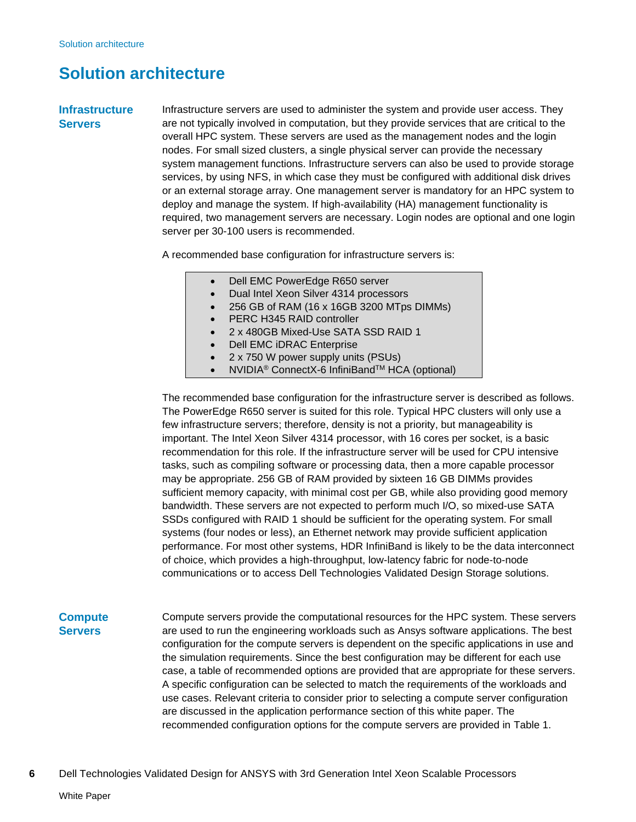## <span id="page-5-0"></span>**Solution architecture**

### **Infrastructure Servers**

Infrastructure servers are used to administer the system and provide user access. They are not typically involved in computation, but they provide services that are critical to the overall HPC system. These servers are used as the management nodes and the login nodes. For small sized clusters, a single physical server can provide the necessary system management functions. Infrastructure servers can also be used to provide storage services, by using NFS, in which case they must be configured with additional disk drives or an external storage array. One management server is mandatory for an HPC system to deploy and manage the system. If high-availability (HA) management functionality is required, two management servers are necessary. Login nodes are optional and one login server per 30-100 users is recommended.

A recommended base configuration for infrastructure servers is:

- Dell EMC PowerEdge R650 server
- Dual Intel Xeon Silver 4314 processors
- 256 GB of RAM (16 x 16GB 3200 MTps DIMMs)
- PERC H345 RAID controller
- 2 x 480GB Mixed-Use SATA SSD RAID 1
- Dell EMC iDRAC Enterprise
- 2 x 750 W power supply units (PSUs)
- NVIDIA® ConnectX-6 InfiniBandTM HCA (optional)

The recommended base configuration for the infrastructure server is described as follows. The PowerEdge R650 server is suited for this role. Typical HPC clusters will only use a few infrastructure servers; therefore, density is not a priority, but manageability is important. The Intel Xeon Silver 4314 processor, with 16 cores per socket, is a basic recommendation for this role. If the infrastructure server will be used for CPU intensive tasks, such as compiling software or processing data, then a more capable processor may be appropriate. 256 GB of RAM provided by sixteen 16 GB DIMMs provides sufficient memory capacity, with minimal cost per GB, while also providing good memory bandwidth. These servers are not expected to perform much I/O, so mixed-use SATA SSDs configured with RAID 1 should be sufficient for the operating system. For small systems (four nodes or less), an Ethernet network may provide sufficient application performance. For most other systems, HDR InfiniBand is likely to be the data interconnect of choice, which provides a high-throughput, low-latency fabric for node-to-node communications or to access Dell Technologies Validated Design Storage solutions.

### **Compute Servers**

Compute servers provide the computational resources for the HPC system. These servers are used to run the engineering workloads such as Ansys software applications. The best configuration for the compute servers is dependent on the specific applications in use and the simulation requirements. Since the best configuration may be different for each use case, a table of recommended options are provided that are appropriate for these servers. A specific configuration can be selected to match the requirements of the workloads and use cases. Relevant criteria to consider prior to selecting a compute server configuration are discussed in the application performance section of this white paper. The recommended configuration options for the compute servers are provided in [Table 1.](#page-6-0)

**6** Dell Technologies Validated Design for ANSYS with 3rd Generation Intel Xeon Scalable Processors White Paper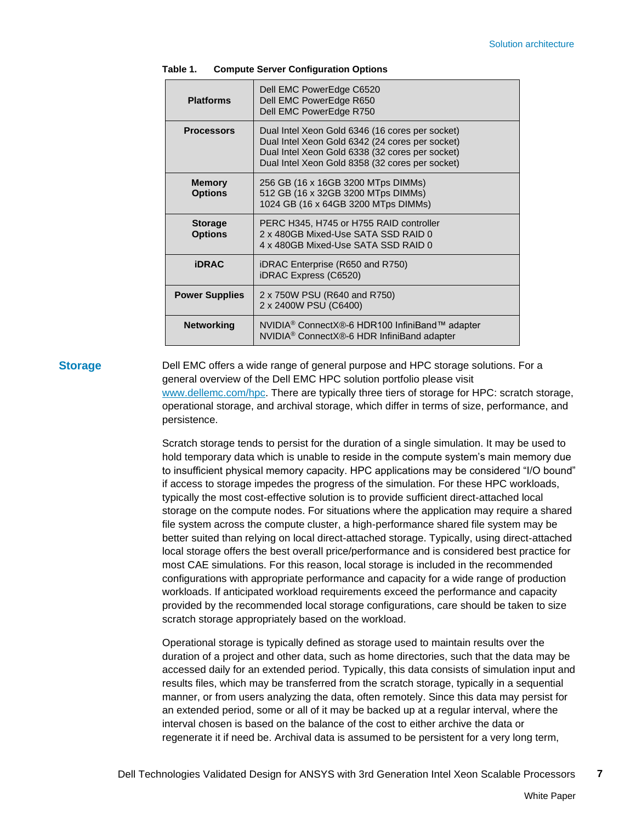| <b>Platforms</b>                 | Dell EMC PowerEdge C6520<br>Dell EMC PowerEdge R650<br>Dell EMC PowerEdge R750                                                                                                                           |
|----------------------------------|----------------------------------------------------------------------------------------------------------------------------------------------------------------------------------------------------------|
| <b>Processors</b>                | Dual Intel Xeon Gold 6346 (16 cores per socket)<br>Dual Intel Xeon Gold 6342 (24 cores per socket)<br>Dual Intel Xeon Gold 6338 (32 cores per socket)<br>Dual Intel Xeon Gold 8358 (32 cores per socket) |
| <b>Memory</b><br><b>Options</b>  | 256 GB (16 x 16GB 3200 MTps DIMMs)<br>512 GB (16 x 32GB 3200 MTps DIMMs)<br>1024 GB (16 x 64GB 3200 MTps DIMMs)                                                                                          |
| <b>Storage</b><br><b>Options</b> | PERC H345, H745 or H755 RAID controller<br>2 x 480GB Mixed-Use SATA SSD RAID 0<br>4 x 480GB Mixed-Use SATA SSD RAID 0                                                                                    |
| <b>iDRAC</b>                     | iDRAC Enterprise (R650 and R750)<br>iDRAC Express (C6520)                                                                                                                                                |
| <b>Power Supplies</b>            | 2 x 750W PSU (R640 and R750)<br>2 x 2400W PSU (C6400)                                                                                                                                                    |
| <b>Networking</b>                | NVIDIA <sup>®</sup> ConnectX®-6 HDR100 InfiniBand™ adapter<br>NVIDIA <sup>®</sup> ConnectX®-6 HDR InfiniBand adapter                                                                                     |

#### <span id="page-6-0"></span>**Table 1. Compute Server Configuration Options**

#### **Storage**

Dell EMC offers a wide range of general purpose and HPC storage solutions. For a general overview of the Dell EMC HPC solution portfolio please visit [www.dellemc.com/hpc.](http://www.dellemc.com/hpc) There are typically three tiers of storage for HPC: scratch storage, operational storage, and archival storage, which differ in terms of size, performance, and persistence.

Scratch storage tends to persist for the duration of a single simulation. It may be used to hold temporary data which is unable to reside in the compute system's main memory due to insufficient physical memory capacity. HPC applications may be considered "I/O bound" if access to storage impedes the progress of the simulation. For these HPC workloads, typically the most cost-effective solution is to provide sufficient direct-attached local storage on the compute nodes. For situations where the application may require a shared file system across the compute cluster, a high-performance shared file system may be better suited than relying on local direct-attached storage. Typically, using direct-attached local storage offers the best overall price/performance and is considered best practice for most CAE simulations. For this reason, local storage is included in the recommended configurations with appropriate performance and capacity for a wide range of production workloads. If anticipated workload requirements exceed the performance and capacity provided by the recommended local storage configurations, care should be taken to size scratch storage appropriately based on the workload.

Operational storage is typically defined as storage used to maintain results over the duration of a project and other data, such as home directories, such that the data may be accessed daily for an extended period. Typically, this data consists of simulation input and results files, which may be transferred from the scratch storage, typically in a sequential manner, or from users analyzing the data, often remotely. Since this data may persist for an extended period, some or all of it may be backed up at a regular interval, where the interval chosen is based on the balance of the cost to either archive the data or regenerate it if need be. Archival data is assumed to be persistent for a very long term,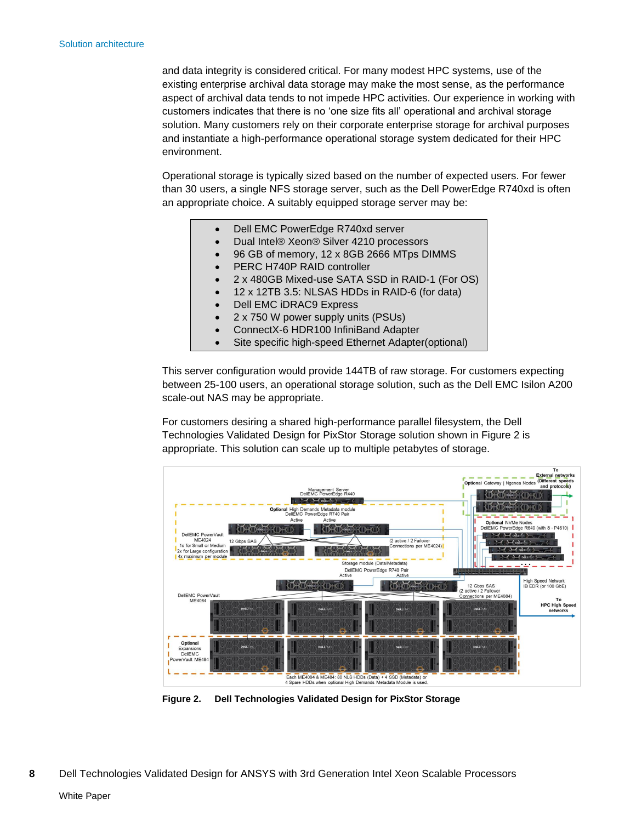and data integrity is considered critical. For many modest HPC systems, use of the existing enterprise archival data storage may make the most sense, as the performance aspect of archival data tends to not impede HPC activities. Our experience in working with customers indicates that there is no 'one size fits all' operational and archival storage solution. Many customers rely on their corporate enterprise storage for archival purposes and instantiate a high-performance operational storage system dedicated for their HPC environment.

Operational storage is typically sized based on the number of expected users. For fewer than 30 users, a single NFS storage server, such as the Dell PowerEdge R740xd is often an appropriate choice. A suitably equipped storage server may be:

- Dell EMC PowerEdge R740xd server
- Dual Intel® Xeon® Silver 4210 processors
- 96 GB of memory, 12 x 8GB 2666 MTps DIMMS
- PERC H740P RAID controller
- 2 x 480GB Mixed-use SATA SSD in RAID-1 (For OS)
- 12 x 12TB 3.5: NLSAS HDDs in RAID-6 (for data)
- Dell EMC iDRAC9 Express
- 2 x 750 W power supply units (PSUs)
- ConnectX-6 HDR100 InfiniBand Adapter
- Site specific high-speed Ethernet Adapter(optional)

This server configuration would provide 144TB of raw storage. For customers expecting between 25-100 users, an operational storage solution, such as the Dell EMC Isilon A200 scale-out NAS may be appropriate.

For customers desiring a shared high-performance parallel filesystem, the Dell Technologies Validated Design for PixStor Storage solution shown in [Figure 2](#page-7-0) is appropriate. This solution can scale up to multiple petabytes of storage.



<span id="page-7-0"></span>**Figure 2. Dell Technologies Validated Design for PixStor Storage**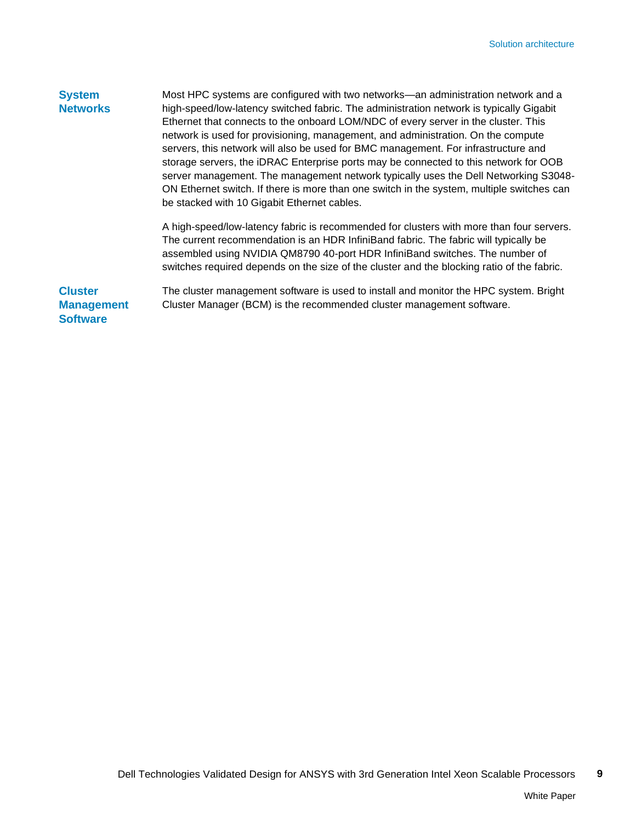### Most HPC systems are configured with two networks—an administration network and a high-speed/low-latency switched fabric. The administration network is typically Gigabit Ethernet that connects to the onboard LOM/NDC of every server in the cluster. This network is used for provisioning, management, and administration. On the compute servers, this network will also be used for BMC management. For infrastructure and storage servers, the iDRAC Enterprise ports may be connected to this network for OOB server management. The management network typically uses the Dell Networking S3048- ON Ethernet switch. If there is more than one switch in the system, multiple switches can be stacked with 10 Gigabit Ethernet cables. A high-speed/low-latency fabric is recommended for clusters with more than four servers. The current recommendation is an HDR InfiniBand fabric. The fabric will typically be assembled using NVIDIA QM8790 40-port HDR InfiniBand switches. The number of **System Networks**

**Cluster Management** 

**Software**

The cluster management software is used to install and monitor the HPC system. Bright Cluster Manager (BCM) is the recommended cluster management software.

switches required depends on the size of the cluster and the blocking ratio of the fabric.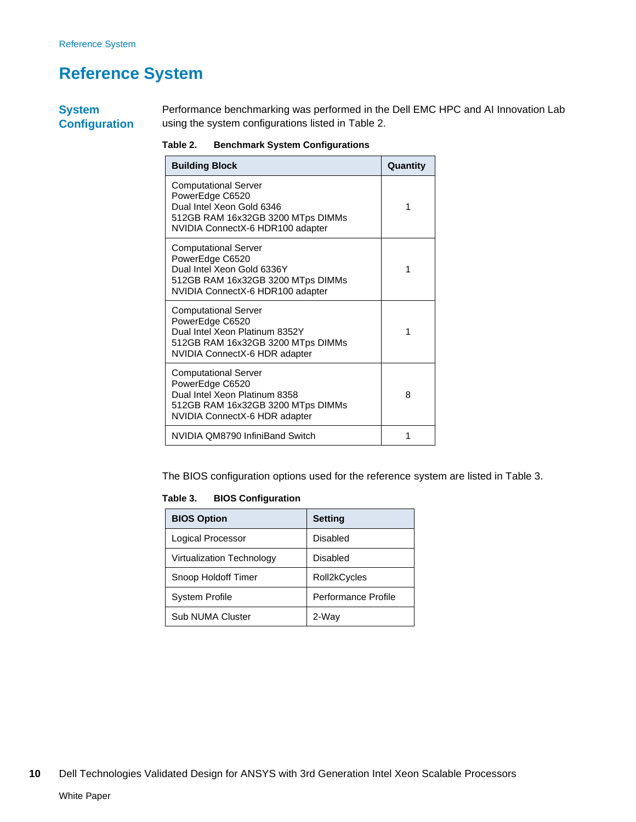## <span id="page-9-0"></span>**Reference System**

**System Configuration** Performance benchmarking was performed in the Dell EMC HPC and AI Innovation Lab using the system configurations listed in [Table 2.](#page-9-1)

<span id="page-9-1"></span>**Table 2. Benchmark System Configurations**

| <b>Building Block</b>                                                                                                                                  | Quantity |
|--------------------------------------------------------------------------------------------------------------------------------------------------------|----------|
| <b>Computational Server</b><br>PowerEdge C6520<br>Dual Intel Xeon Gold 6346<br>512GB RAM 16x32GB 3200 MTps DIMMs<br>NVIDIA ConnectX-6 HDR100 adapter   | 1        |
| <b>Computational Server</b><br>PowerEdge C6520<br>Dual Intel Xeon Gold 6336Y<br>512GB RAM 16x32GB 3200 MTps DIMMs<br>NVIDIA ConnectX-6 HDR100 adapter  | 1        |
| <b>Computational Server</b><br>PowerEdge C6520<br>Dual Intel Xeon Platinum 8352Y<br>512GB RAM 16x32GB 3200 MTps DIMMs<br>NVIDIA ConnectX-6 HDR adapter | 1        |
| <b>Computational Server</b><br>PowerEdge C6520<br>Dual Intel Xeon Platinum 8358<br>512GB RAM 16x32GB 3200 MTps DIMMs<br>NVIDIA ConnectX-6 HDR adapter  | 8        |
| NVIDIA QM8790 InfiniBand Switch                                                                                                                        | 1        |

The BIOS configuration options used for the reference system are listed in [Table 3.](#page-9-2)

<span id="page-9-2"></span>**Table 3. BIOS Configuration**

| <b>BIOS Option</b>               | <b>Setting</b>      |
|----------------------------------|---------------------|
| Logical Processor                | Disabled            |
| <b>Virtualization Technology</b> | Disabled            |
| Snoop Holdoff Timer              | Roll2kCycles        |
| <b>System Profile</b>            | Performance Profile |
| <b>Sub NUMA Cluster</b>          | 2-Way               |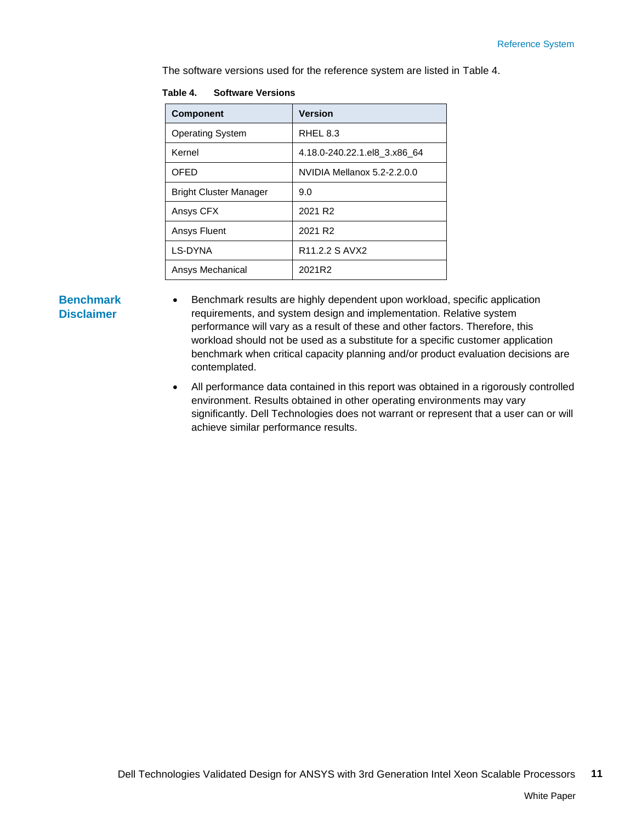The software versions used for the reference system are listed in [Table 4.](#page-10-0)

| <b>Component</b>              | <b>Version</b>                           |
|-------------------------------|------------------------------------------|
| <b>Operating System</b>       | RHEL 8.3                                 |
| Kernel                        | 4.18.0-240.22.1.el8_3.x86_64             |
| <b>OFED</b>                   | NVIDIA Mellanox 5.2-2.2.0.0              |
| <b>Bright Cluster Manager</b> | 9.0                                      |
| Ansys CFX                     | 2021 R <sub>2</sub>                      |
| Ansys Fluent                  | 2021 R <sub>2</sub>                      |
| LS-DYNA                       | R <sub>11</sub> , 2.2 S AVX <sub>2</sub> |
| Ansys Mechanical              | 2021R2                                   |

#### <span id="page-10-0"></span>**Table 4. Software Versions**

### **Benchmark Disclaimer**

- Benchmark results are highly dependent upon workload, specific application requirements, and system design and implementation. Relative system performance will vary as a result of these and other factors. Therefore, this workload should not be used as a substitute for a specific customer application benchmark when critical capacity planning and/or product evaluation decisions are contemplated.
- All performance data contained in this report was obtained in a rigorously controlled environment. Results obtained in other operating environments may vary significantly. Dell Technologies does not warrant or represent that a user can or will achieve similar performance results.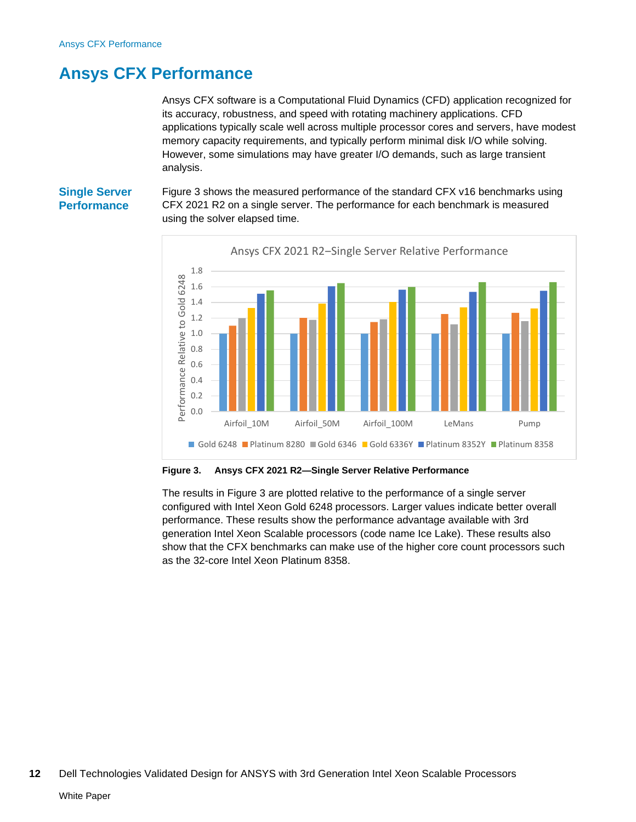## <span id="page-11-0"></span>**Ansys CFX Performance**

Ansys CFX software is a Computational Fluid Dynamics (CFD) application recognized for its accuracy, robustness, and speed with rotating machinery applications. CFD applications typically scale well across multiple processor cores and servers, have modest memory capacity requirements, and typically perform minimal disk I/O while solving. However, some simulations may have greater I/O demands, such as large transient analysis.

### **Single Server Performance**

[Figure 3](#page-11-1) shows the measured performance of the standard CFX v16 benchmarks using CFX 2021 R2 on a single server. The performance for each benchmark is measured using the solver elapsed time.



<span id="page-11-1"></span>**Figure 3. Ansys CFX 2021 R2—Single Server Relative Performance**

The results in [Figure 3](#page-11-1) are plotted relative to the performance of a single server configured with Intel Xeon Gold 6248 processors. Larger values indicate better overall performance. These results show the performance advantage available with 3rd generation Intel Xeon Scalable processors (code name Ice Lake). These results also show that the CFX benchmarks can make use of the higher core count processors such as the 32-core Intel Xeon Platinum 8358.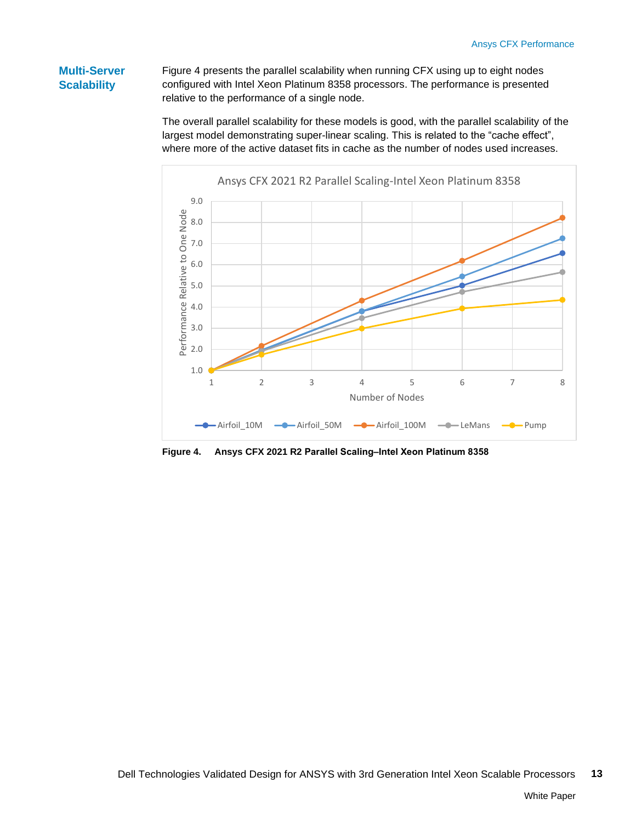## **Multi-Server Scalability**

[Figure 4](#page-12-0) presents the parallel scalability when running CFX using up to eight nodes configured with Intel Xeon Platinum 8358 processors. The performance is presented relative to the performance of a single node.

The overall parallel scalability for these models is good, with the parallel scalability of the largest model demonstrating super-linear scaling. This is related to the "cache effect", where more of the active dataset fits in cache as the number of nodes used increases.



<span id="page-12-0"></span>**Figure 4.** Ansys CFX 2021 R2 Parallel Scaling-Intel Xeon Platinum 8358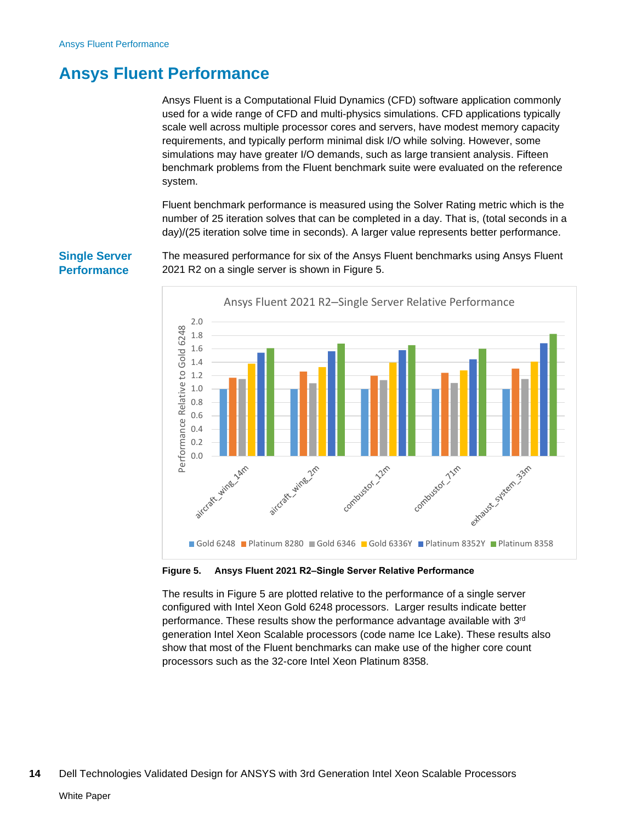## <span id="page-13-0"></span>**Ansys Fluent Performance**

Ansys Fluent is a Computational Fluid Dynamics (CFD) software application commonly used for a wide range of CFD and multi-physics simulations. CFD applications typically scale well across multiple processor cores and servers, have modest memory capacity requirements, and typically perform minimal disk I/O while solving. However, some simulations may have greater I/O demands, such as large transient analysis. Fifteen benchmark problems from the Fluent benchmark suite were evaluated on the reference system.

Fluent benchmark performance is measured using the Solver Rating metric which is the number of 25 iteration solves that can be completed in a day. That is, (total seconds in a day)/(25 iteration solve time in seconds). A larger value represents better performance.

The measured performance for six of the Ansys Fluent benchmarks using Ansys Fluent 2021 R2 on a single server is shown in [Figure 5.](#page-13-1)



#### <span id="page-13-1"></span>**Figure 5. Ansys Fluent 2021 R2‒Single Server Relative Performance**

The results in [Figure 5](#page-13-1) are plotted relative to the performance of a single server configured with Intel Xeon Gold 6248 processors. Larger results indicate better performance. These results show the performance advantage available with 3<sup>rd</sup> generation Intel Xeon Scalable processors (code name Ice Lake). These results also show that most of the Fluent benchmarks can make use of the higher core count processors such as the 32-core Intel Xeon Platinum 8358.

### **Single Server Performance**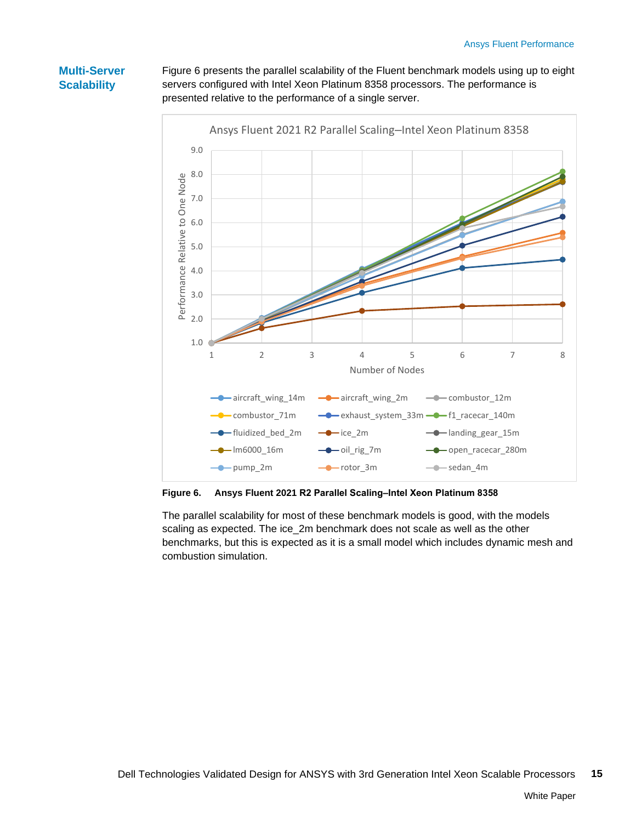## **Multi-Server Scalability**

[Figure 6](#page-14-0) presents the parallel scalability of the Fluent benchmark models using up to eight servers configured with Intel Xeon Platinum 8358 processors. The performance is presented relative to the performance of a single server.



<span id="page-14-0"></span>**Figure 6.** Ansys Fluent 2021 R2 Parallel Scaling-Intel Xeon Platinum 8358

The parallel scalability for most of these benchmark models is good, with the models scaling as expected. The ice\_2m benchmark does not scale as well as the other benchmarks, but this is expected as it is a small model which includes dynamic mesh and combustion simulation.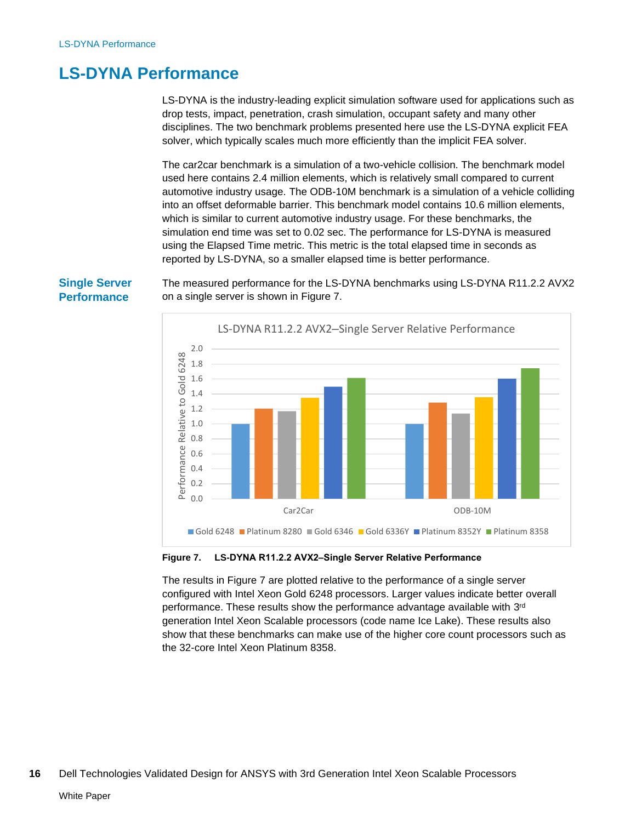## <span id="page-15-0"></span>**LS-DYNA Performance**

LS-DYNA is the industry-leading explicit simulation software used for applications such as drop tests, impact, penetration, crash simulation, occupant safety and many other disciplines. The two benchmark problems presented here use the LS-DYNA explicit FEA solver, which typically scales much more efficiently than the implicit FEA solver.

The car2car benchmark is a simulation of a two-vehicle collision. The benchmark model used here contains 2.4 million elements, which is relatively small compared to current automotive industry usage. The ODB-10M benchmark is a simulation of a vehicle colliding into an offset deformable barrier. This benchmark model contains 10.6 million elements, which is similar to current automotive industry usage. For these benchmarks, the simulation end time was set to 0.02 sec. The performance for LS-DYNA is measured using the Elapsed Time metric. This metric is the total elapsed time in seconds as reported by LS-DYNA, so a smaller elapsed time is better performance.

The measured performance for the LS-DYNA benchmarks using LS-DYNA R11.2.2 AVX2 on a single server is shown in [Figure 7.](#page-15-1)



#### <span id="page-15-1"></span>**Figure 7. LS-DYNA R11.2.2 AVX2‒Single Server Relative Performance**

The results in [Figure 7](#page-15-1) are plotted relative to the performance of a single server configured with Intel Xeon Gold 6248 processors. Larger values indicate better overall performance. These results show the performance advantage available with 3<sup>rd</sup> generation Intel Xeon Scalable processors (code name Ice Lake). These results also show that these benchmarks can make use of the higher core count processors such as the 32-core Intel Xeon Platinum 8358.

### **Single Server Performance**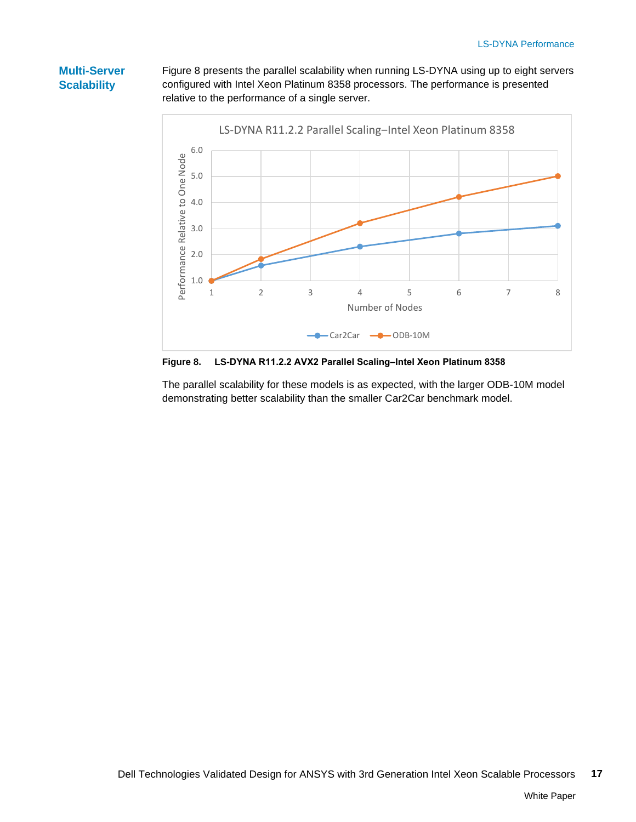## **Multi-Server Scalability**

[Figure 8](#page-16-0) presents the parallel scalability when running LS-DYNA using up to eight servers configured with Intel Xeon Platinum 8358 processors. The performance is presented relative to the performance of a single server.



<span id="page-16-0"></span>Figure 8. LS-DYNA R11.2.2 AVX2 Parallel Scaling-Intel Xeon Platinum 8358

The parallel scalability for these models is as expected, with the larger ODB-10M model demonstrating better scalability than the smaller Car2Car benchmark model.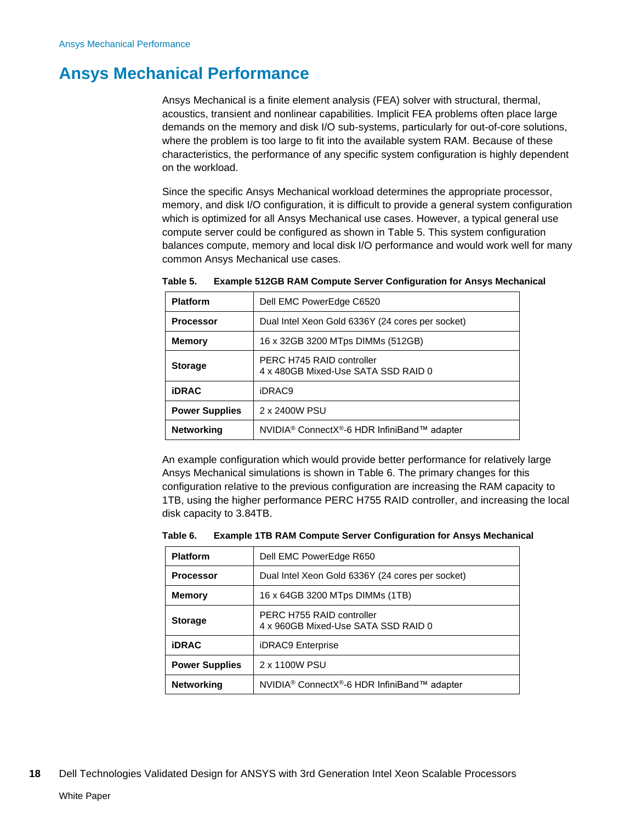## <span id="page-17-0"></span>**Ansys Mechanical Performance**

Ansys Mechanical is a finite element analysis (FEA) solver with structural, thermal, acoustics, transient and nonlinear capabilities. Implicit FEA problems often place large demands on the memory and disk I/O sub-systems, particularly for out-of-core solutions, where the problem is too large to fit into the available system RAM. Because of these characteristics, the performance of any specific system configuration is highly dependent on the workload.

Since the specific Ansys Mechanical workload determines the appropriate processor, memory, and disk I/O configuration, it is difficult to provide a general system configuration which is optimized for all Ansys Mechanical use cases. However, a typical general use compute server could be configured as shown in [Table 5.](#page-17-1) This system configuration balances compute, memory and local disk I/O performance and would work well for many common Ansys Mechanical use cases.

| <b>Platform</b>       | Dell EMC PowerEdge C6520                                             |
|-----------------------|----------------------------------------------------------------------|
| <b>Processor</b>      | Dual Intel Xeon Gold 6336Y (24 cores per socket)                     |
| <b>Memory</b>         | 16 x 32GB 3200 MTps DIMMs (512GB)                                    |
| <b>Storage</b>        | PERC H745 RAID controller<br>4 x 480GB Mixed-Use SATA SSD RAID 0     |
| <b>iDRAC</b>          | iDRAC9                                                               |
| <b>Power Supplies</b> | 2 x 2400W PSU                                                        |
| <b>Networking</b>     | NVIDIA <sup>®</sup> ConnectX <sup>®</sup> -6 HDR InfiniBand™ adapter |

<span id="page-17-1"></span>

| Table 5. | <b>Example 512GB RAM Compute Server Configuration for Ansys Mechanical</b> |  |  |  |
|----------|----------------------------------------------------------------------------|--|--|--|
|----------|----------------------------------------------------------------------------|--|--|--|

An example configuration which would provide better performance for relatively large Ansys Mechanical simulations is shown in [Table 6.](#page-17-2) The primary changes for this configuration relative to the previous configuration are increasing the RAM capacity to 1TB, using the higher performance PERC H755 RAID controller, and increasing the local disk capacity to 3.84TB.

<span id="page-17-2"></span>

| Table 6. |  | <b>Example 1TB RAM Compute Server Configuration for Ansys Mechanical</b> |  |
|----------|--|--------------------------------------------------------------------------|--|
|----------|--|--------------------------------------------------------------------------|--|

| <b>Platform</b>       | Dell EMC PowerEdge R650                                              |
|-----------------------|----------------------------------------------------------------------|
| <b>Processor</b>      | Dual Intel Xeon Gold 6336Y (24 cores per socket)                     |
| <b>Memory</b>         | 16 x 64GB 3200 MTps DIMMs (1TB)                                      |
| <b>Storage</b>        | PERC H755 RAID controller<br>4 x 960GB Mixed-Use SATA SSD RAID 0     |
| <b>iDRAC</b>          | <b>iDRAC9</b> Enterprise                                             |
| <b>Power Supplies</b> | 2 x 1100W PSU                                                        |
| <b>Networking</b>     | NVIDIA <sup>®</sup> ConnectX <sup>®</sup> -6 HDR InfiniBand™ adapter |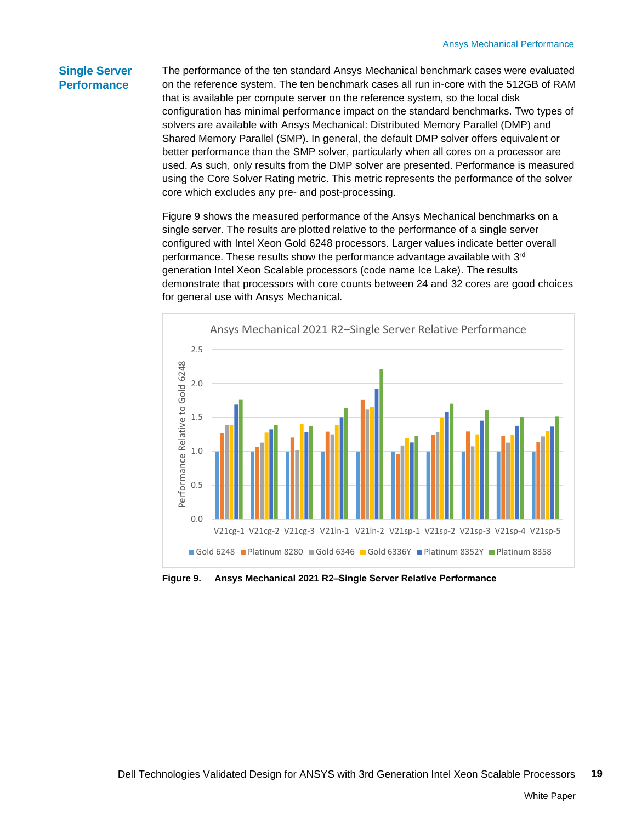### **Single Server Performance**

The performance of the ten standard Ansys Mechanical benchmark cases were evaluated on the reference system. The ten benchmark cases all run in-core with the 512GB of RAM that is available per compute server on the reference system, so the local disk configuration has minimal performance impact on the standard benchmarks. Two types of solvers are available with Ansys Mechanical: Distributed Memory Parallel (DMP) and Shared Memory Parallel (SMP). In general, the default DMP solver offers equivalent or better performance than the SMP solver, particularly when all cores on a processor are used. As such, only results from the DMP solver are presented. Performance is measured using the Core Solver Rating metric. This metric represents the performance of the solver core which excludes any pre- and post-processing.

[Figure 9](#page-18-0) shows the measured performance of the Ansys Mechanical benchmarks on a single server. The results are plotted relative to the performance of a single server configured with Intel Xeon Gold 6248 processors. Larger values indicate better overall performance. These results show the performance advantage available with 3<sup>rd</sup> generation Intel Xeon Scalable processors (code name Ice Lake). The results demonstrate that processors with core counts between 24 and 32 cores are good choices for general use with Ansys Mechanical.



<span id="page-18-0"></span>**Figure 9. Ansys Mechanical 2021 R2‒Single Server Relative Performance**

White Paper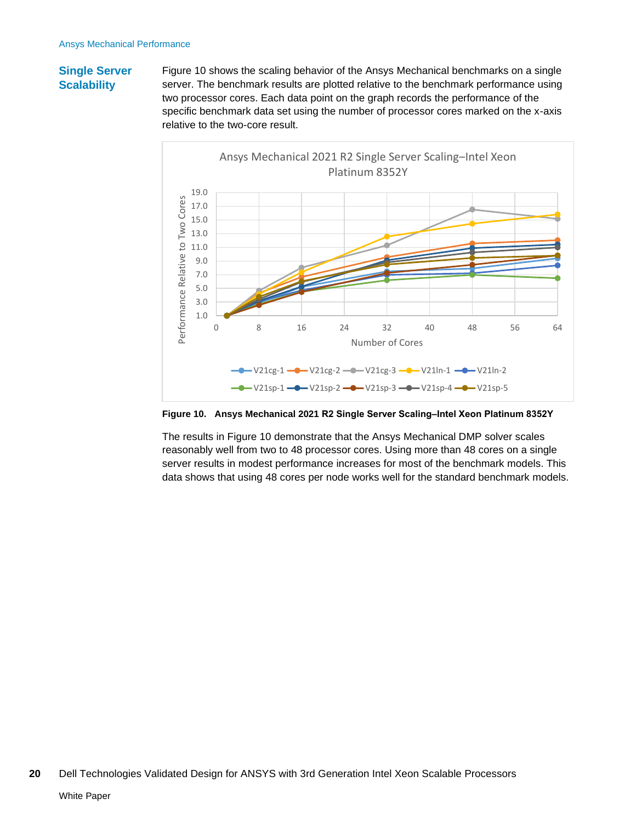## **Single Server Scalability**

[Figure 10](#page-19-0) shows the scaling behavior of the Ansys Mechanical benchmarks on a single server. The benchmark results are plotted relative to the benchmark performance using two processor cores. Each data point on the graph records the performance of the specific benchmark data set using the number of processor cores marked on the x-axis relative to the two-core result.



<span id="page-19-0"></span>**Figure 10. Ansys Mechanical 2021 R2 Single Server Scaling‒Intel Xeon Platinum 8352Y**

The results in [Figure 10](#page-19-0) demonstrate that the Ansys Mechanical DMP solver scales reasonably well from two to 48 processor cores. Using more than 48 cores on a single server results in modest performance increases for most of the benchmark models. This data shows that using 48 cores per node works well for the standard benchmark models.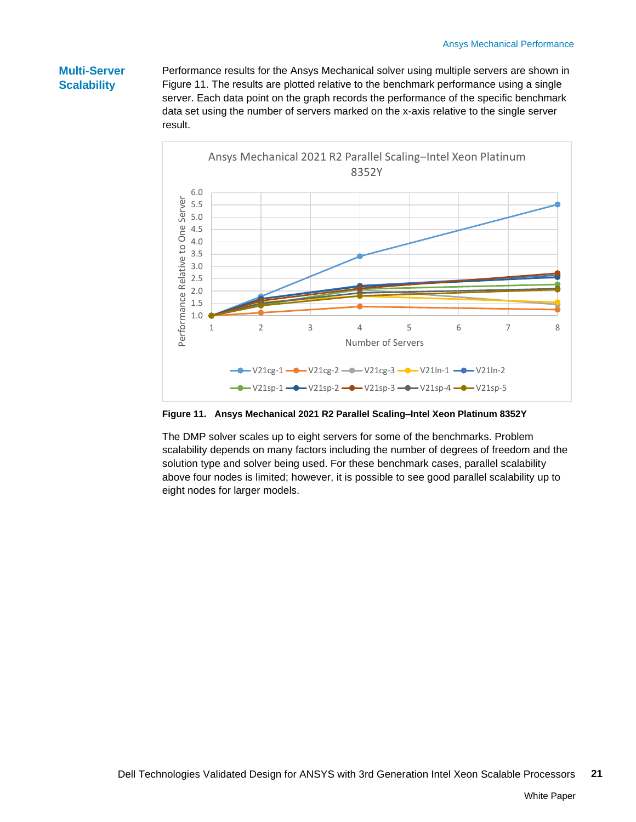## **Multi-Server Scalability**

Performance results for the Ansys Mechanical solver using multiple servers are shown in [Figure 11.](#page-20-0) The results are plotted relative to the benchmark performance using a single server. Each data point on the graph records the performance of the specific benchmark data set using the number of servers marked on the x-axis relative to the single server result.



<span id="page-20-0"></span>**Figure 11. Ansys Mechanical 2021 R2 Parallel Scaling-Intel Xeon Platinum 8352Y** 

The DMP solver scales up to eight servers for some of the benchmarks. Problem scalability depends on many factors including the number of degrees of freedom and the solution type and solver being used. For these benchmark cases, parallel scalability above four nodes is limited; however, it is possible to see good parallel scalability up to eight nodes for larger models.